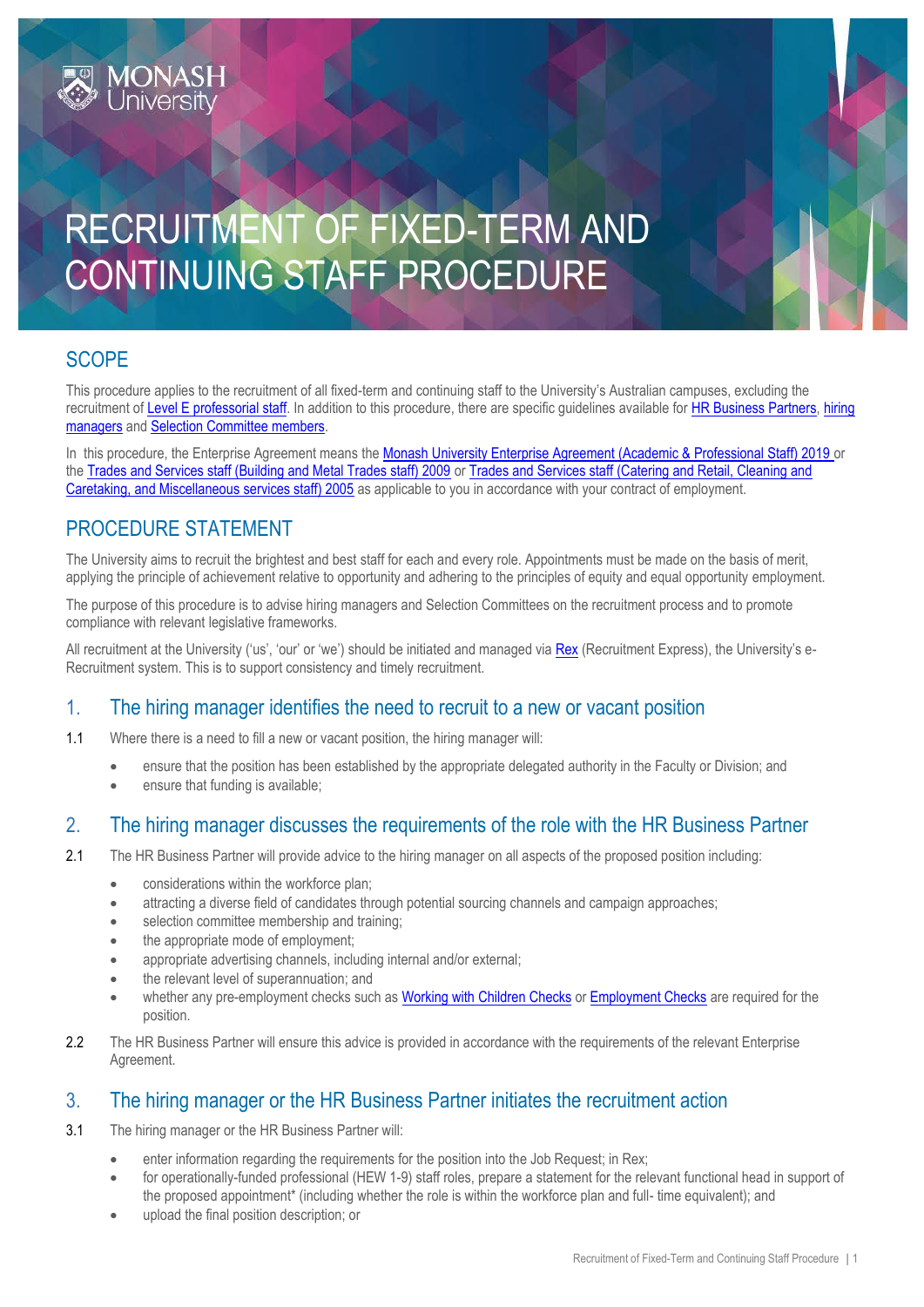# RECRUITMENT OF FIXED-TERM AND CONTINUING STAFF PROCEDURE

### **SCOPE**

This procedure applies to the recruitment of all fixed-term and continuing staff to the University's Australian campuses, excluding the recruitment of [Level E professorial staff.](https://publicpolicydms.monash.edu/Monash/documents/1935707) In addition to this procedure, there are specific guidelines available for [HR Business Partners,](https://www.intranet.monash/hr/tools-and-resources/manager-resources/recruitment-and-appointments/guidelines) [hiring](http://www.adm.monash.edu/workplace-policy/recruitment/guidelines-hiring-manager.pdf)  [managers](http://www.adm.monash.edu/workplace-policy/recruitment/guidelines-hiring-manager.pdf) and [Selection Committee members.](https://www.intranet.monash/hr/tools-and-resources/manager-resources/recruitment-and-appointments/guidelines)

In this procedure, the Enterprise Agreement means the [Monash University Enterprise Agreement \(Academic & Professional Staff\) 2019](https://www.monash.edu/current-enterprise-agreements/academic-professional-2019) or the [Trades and Services staff \(Building and Metal Trades staff\) 2009](https://www.monash.edu/current-enterprise-agreements/trades-services-bmt-2009) or [Trades and Services staff \(Catering and Retail, Cleaning and](https://www.monash.edu/current-enterprise-agreements/trades-services-crccm-2005)  [Caretaking, and Miscellaneous services staff\) 2005](https://www.monash.edu/current-enterprise-agreements/trades-services-crccm-2005) as applicable to you in accordance with your contract of employment.

#### PROCEDURE STATEMENT

The University aims to recruit the brightest and best staff for each and every role. Appointments must be made on the basis of merit, applying the principle of achievement relative to opportunity and adhering to the principles of equity and equal opportunity employment.

The purpose of this procedure is to advise hiring managers and Selection Committees on the recruitment process and to promote compliance with relevant legislative frameworks.

All recruitment at the University ('us', 'our' or 'we') should be initiated and managed via [Rex](https://monash.pageuppeople.com/?_ga=2.49113381.2000932996.1499034959-1477682603.1491351446) (Recruitment Express), the University's e-Recruitment system. This is to support consistency and timely recruitment.

#### 1. The hiring manager identifies the need to recruit to a new or vacant position

1.1 Where there is a need to fill a new or vacant position, the hiring manager will:

- ensure that the position has been established by the appropriate delegated authority in the Faculty or Division; and
- ensure that funding is available;

#### 2. The hiring manager discusses the requirements of the role with the HR Business Partner

- 2.1 The HR Business Partner will provide advice to the hiring manager on all aspects of the proposed position including:
	- considerations within the workforce plan;
	- attracting a diverse field of candidates through potential sourcing channels and campaign approaches;
	- **•** selection committee membership and training;
	- the appropriate mode of employment;
	- appropriate advertising channels, including internal and/or external;
	- the relevant level of superannuation; and
	- whether any pre-employment checks such as [Working with Children](https://publicpolicydms.monash.edu/Monash/documents/1935742) Checks o[r Employment Checks](https://publicpolicydms.monash.edu/Monash/documents/1935679) are required for the position.
- 2.2 The HR Business Partner will ensure this advice is provided in accordance with the requirements of the relevant Enterprise Agreement.

#### 3. The hiring manager or the HR Business Partner initiates the recruitment action

- 3.1 The hiring manager or the HR Business Partner will:
	- enter information regarding the requirements for the position into the Job Request; in Rex;
	- for operationally-funded professional (HEW 1-9) staff roles, prepare a statement for the relevant functional head in support of the proposed appointment\* (including whether the role is within the workforce plan and full- time equivalent); and
	- upload the final position description; or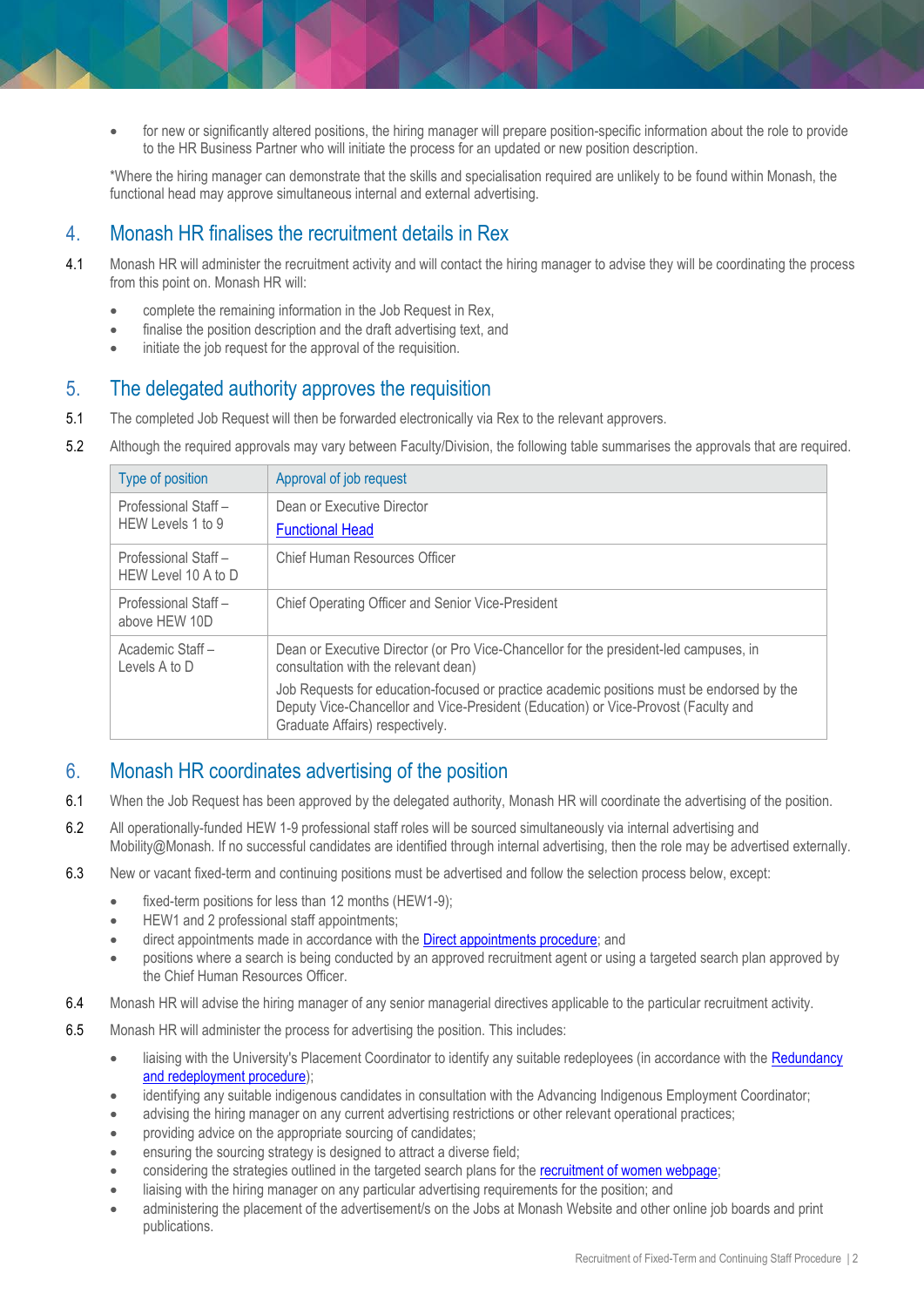for new or significantly altered positions, the hiring manager will prepare position-specific information about the role to provide to the HR Business Partner who will initiate the process for an updated or new position description.

\*Where the hiring manager can demonstrate that the skills and specialisation required are unlikely to be found within Monash, the functional head may approve simultaneous internal and external advertising.

#### 4. Monash HR finalises the recruitment details in Rex

- 4.1 Monash HR will administer the recruitment activity and will contact the hiring manager to advise they will be coordinating the process from this point on. Monash HR will:
	- complete the remaining information in the Job Request in Rex,
	- finalise the position description and the draft advertising text, and
	- initiate the job request for the approval of the requisition.

#### 5. The delegated authority approves the requisition

- 5.1 The completed Job Request will then be forwarded electronically via Rex to the relevant approvers.
- 5.2 Although the required approvals may vary between Faculty/Division, the following table summarises the approvals that are required.

| Type of position                           | Approval of job request                                                                                                                                                                                            |
|--------------------------------------------|--------------------------------------------------------------------------------------------------------------------------------------------------------------------------------------------------------------------|
| Professional Staff-<br>HEW Levels 1 to 9   | Dean or Executive Director<br><b>Functional Head</b>                                                                                                                                                               |
| Professional Staff-<br>HEW Level 10 A to D | Chief Human Resources Officer                                                                                                                                                                                      |
| Professional Staff-<br>above HEW 10D       | Chief Operating Officer and Senior Vice-President                                                                                                                                                                  |
| Academic Staff -<br>Levels A to D          | Dean or Executive Director (or Pro Vice-Chancellor for the president-led campuses, in<br>consultation with the relevant dean)                                                                                      |
|                                            | Job Requests for education-focused or practice academic positions must be endorsed by the<br>Deputy Vice-Chancellor and Vice-President (Education) or Vice-Provost (Faculty and<br>Graduate Affairs) respectively. |

#### 6. Monash HR coordinates advertising of the position

- 6.1 When the Job Request has been approved by the delegated authority, Monash HR will coordinate the advertising of the position.
- 6.2 All operationally-funded HEW 1-9 professional staff roles will be sourced simultaneously via internal advertising and Mobility@Monash. If no successful candidates are identified through internal advertising, then the role may be advertised externally.
- 6.3 New or vacant fixed-term and continuing positions must be advertised and follow the selection process below, except:
	- fixed-term positions for less than 12 months (HEW1-9);
	- **•** HEW1 and 2 professional staff appointments;
	- direct appointments made in accordance with the **Direct appointments procedure**; and
	- positions where a search is being conducted by an approved recruitment agent or using a targeted search plan approved by the Chief Human Resources Officer.
- 6.4 Monash HR will advise the hiring manager of any senior managerial directives applicable to the particular recruitment activity.
- 6.5 Monash HR will administer the process for advertising the position. This includes:
	- liaising with the University's Placement Coordinator to identify any suitable redeployees (in accordance with the [Redundancy](https://publicpolicydms.monash.edu/Monash/documents/1935728)  [and redeployment procedure\)](https://publicpolicydms.monash.edu/Monash/documents/1935728);
	- identifying any suitable indigenous candidates in consultation with the Advancing Indigenous Employment Coordinator;
	- advising the hiring manager on any current advertising restrictions or other relevant operational practices;
	- providing advice on the appropriate sourcing of candidates;
	- ensuring the sourcing strategy is designed to attract a diverse field;
	- considering the strategies outlined in the targeted search plans for the [recruitment of women webpage;](http://www.adm.monash.edu.au/workplace-policy/gender-equity/women/search-plans-for-recruiting-women.html)
	- liaising with the hiring manager on any particular advertising requirements for the position; and
	- administering the placement of the advertisement/s on the Jobs at Monash Website and other online job boards and print publications.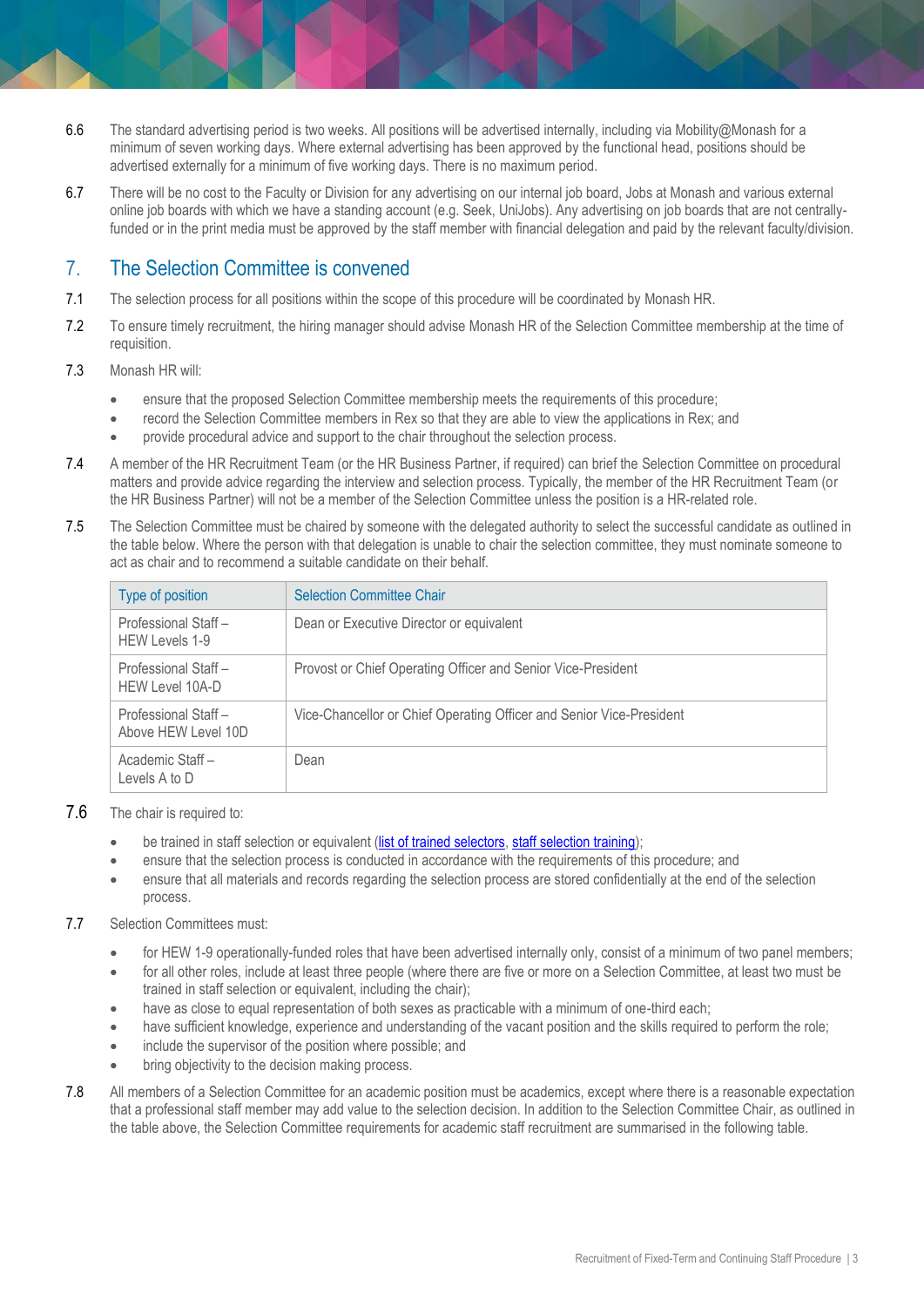- 6.6 The standard advertising period is two weeks. All positions will be advertised internally, including via Mobility@Monash for a minimum of seven working days. Where external advertising has been approved by the functional head, positions should be advertised externally for a minimum of five working days. There is no maximum period.
- 6.7 There will be no cost to the Faculty or Division for any advertising on our internal job board, Jobs at Monash and various external online job boards with which we have a standing account (e.g. Seek, UniJobs). Any advertising on job boards that are not centrallyfunded or in the print media must be approved by the staff member with financial delegation and paid by the relevant faculty/division.

#### 7. The Selection Committee is convened

- 7.1 The selection process for all positions within the scope of this procedure will be coordinated by Monash HR.
- 7.2 To ensure timely recruitment, the hiring manager should advise Monash HR of the Selection Committee membership at the time of requisition.
- 7.3 Monash HR will:
	- ensure that the proposed Selection Committee membership meets the requirements of this procedure;
	- record the Selection Committee members in Rex so that they are able to view the applications in Rex; and
	- provide procedural advice and support to the chair throughout the selection process.
- 7.4 A member of the HR Recruitment Team (or the HR Business Partner, if required) can brief the Selection Committee on procedural matters and provide advice regarding the interview and selection process. Typically, the member of the HR Recruitment Team (or the HR Business Partner) will not be a member of the Selection Committee unless the position is a HR-related role.
- 7.5 The Selection Committee must be chaired by someone with the delegated authority to select the successful candidate as outlined in the table below. Where the person with that delegation is unable to chair the selection committee, they must nominate someone to act as chair and to recommend a suitable candidate on their behalf.

| Type of position                              | <b>Selection Committee Chair</b>                                     |
|-----------------------------------------------|----------------------------------------------------------------------|
| Professional Staff-<br><b>HEW Levels 1-9</b>  | Dean or Executive Director or equivalent                             |
| Professional Staff-<br><b>HEW Level 10A-D</b> | Provost or Chief Operating Officer and Senior Vice-President         |
| Professional Staff-<br>Above HEW Level 10D    | Vice-Chancellor or Chief Operating Officer and Senior Vice-President |
| Academic Staff-<br>Levels A to D              | Dean                                                                 |

- 7.6 The chair is required to:
	- be trained in staff selection or equivalent [\(list of trained selectors,](https://www.intranet.monash/talent-leadership-development/home) [staff selection training\)](https://monash.csod.com/samldefault.aspx);
	- ensure that the selection process is conducted in accordance with the requirements of this procedure; and
	- ensure that all materials and records regarding the selection process are stored confidentially at the end of the selection process.
- 7.7 Selection Committees must:
	- for HEW 1-9 operationally-funded roles that have been advertised internally only, consist of a minimum of two panel members;
	- for all other roles, include at least three people (where there are five or more on a Selection Committee, at least two must be trained in staff selection or equivalent, including the chair);
	- have as close to equal representation of both sexes as practicable with a minimum of one-third each;
	- have sufficient knowledge, experience and understanding of the vacant position and the skills required to perform the role;
	- include the supervisor of the position where possible; and
	- bring objectivity to the decision making process.
- 7.8 All members of a Selection Committee for an academic position must be academics, except where there is a reasonable expectation that a professional staff member may add value to the selection decision. In addition to the Selection Committee Chair, as outlined in the table above, the Selection Committee requirements for academic staff recruitment are summarised in the following table.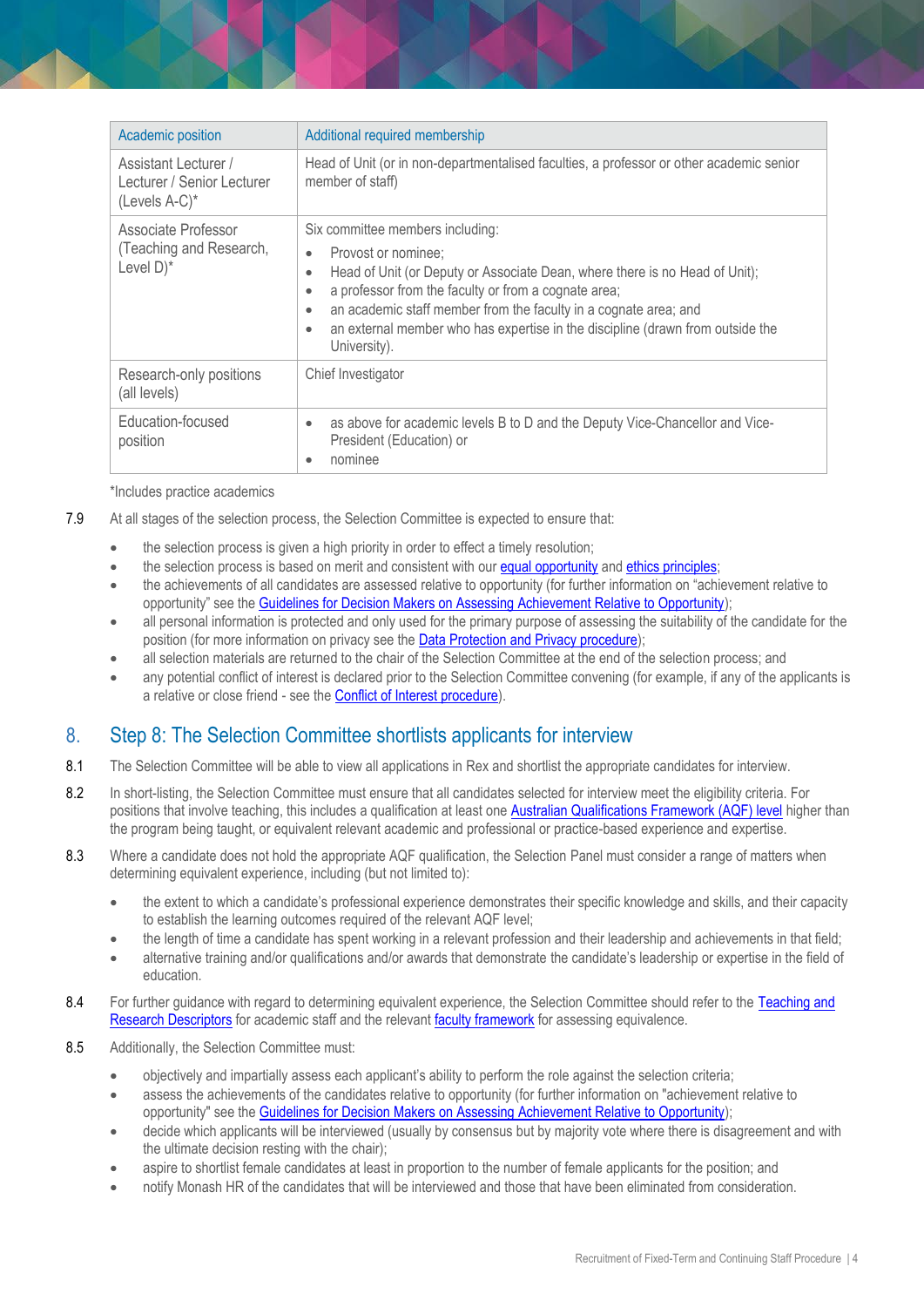| Academic position                                                        | Additional required membership                                                                                                                                                                                                                                                                                                                                                                                                |
|--------------------------------------------------------------------------|-------------------------------------------------------------------------------------------------------------------------------------------------------------------------------------------------------------------------------------------------------------------------------------------------------------------------------------------------------------------------------------------------------------------------------|
| Assistant Lecturer /<br>Lecturer / Senior Lecturer<br>$(Levels A-C)^*$   | Head of Unit (or in non-departmentalised faculties, a professor or other academic senior<br>member of staff)                                                                                                                                                                                                                                                                                                                  |
| Associate Professor<br>(Teaching and Research,<br>Level $D$ <sup>*</sup> | Six committee members including:<br>Provost or nominee;<br>$\bullet$<br>Head of Unit (or Deputy or Associate Dean, where there is no Head of Unit);<br>٠<br>a professor from the faculty or from a cognate area;<br>$\bullet$<br>an academic staff member from the faculty in a cognate area; and<br>$\bullet$<br>an external member who has expertise in the discipline (drawn from outside the<br>$\bullet$<br>University). |
| Research-only positions<br>(all levels)                                  | Chief Investigator                                                                                                                                                                                                                                                                                                                                                                                                            |
| Education-focused<br>position                                            | as above for academic levels B to D and the Deputy Vice-Chancellor and Vice-<br>$\bullet$<br>President (Education) or<br>nominee<br>۰                                                                                                                                                                                                                                                                                         |

\*Includes practice academics

- 7.9 At all stages of the selection process, the Selection Committee is expected to ensure that:
	- the selection process is given a high priority in order to effect a timely resolution;
	- the selection process is based on merit and consistent with our [equal opportunity](https://publicpolicydms.monash.edu/Monash/documents/1935682) and [ethics principles;](https://publicpolicydms.monash.edu/Monash/documents/1935683)
	- the achievements of all candidates are assessed relative to opportunity (for further information on "achievement relative to opportunity" see the [Guidelines for Decision Makers on Assessing Achievement Relative to Opportunity\)](https://www.monash.edu/__data/assets/pdf_file/0012/1032060/Guidelines-For-Assessing-Achievement-Relative-to-Opportunity.pdf);
	- all personal information is protected and only used for the primary purpose of assessing the suitability of the candidate for the position (for more information on privacy see the [Data Protection and Privacy procedure\)](https://publicpolicydms.monash.edu/Monash/documents/1909233);
	- all selection materials are returned to the chair of the Selection Committee at the end of the selection process; and
	- any potential conflict of interest is declared prior to the Selection Committee convening (for example, if any of the applicants is a relative or close friend - see the [Conflict of Interest procedure\)](https://publicpolicydms.monash.edu/Monash/documents/1935671).

#### 8. Step 8: The Selection Committee shortlists applicants for interview

- 8.1 The Selection Committee will be able to view all applications in Rex and shortlist the appropriate candidates for interview.
- 8.2 In short-listing, the Selection Committee must ensure that all candidates selected for interview meet the eligibility criteria. For positions that involve teaching, this includes a qualification at least one [Australian Qualifications Framework \(AQF\) level](https://www.aqf.edu.au/aqf-qualifications) higher than the program being taught, or equivalent relevant academic and professional or practice-based experience and expertise.
- 8.3 Where a candidate does not hold the appropriate AQF qualification, the Selection Panel must consider a range of matters when determining equivalent experience, including (but not limited to):
	- the extent to which a candidate's professional experience demonstrates their specific knowledge and skills, and their capacity to establish the learning outcomes required of the relevant AQF level;
	- the length of time a candidate has spent working in a relevant profession and their leadership and achievements in that field;
	- alternative training and/or qualifications and/or awards that demonstrate the candidate's leadership or expertise in the field of education.
- 8.4 For further quidance with regard to determining equivalent experience, the Selection Committee should refer to the Teaching and [Research Descriptors](http://www.intranet.monash/hr/tools-and-resources/manager-resources/recruitment-and-appointments/categories/academic/teaching-research) for academic staff and the relevant [faculty framework](http://www.intranet.monash/hr/tools-and-resources/manager-resources/recruitment-and-appointments/higher-education-standards-in-teaching) for assessing equivalence.
- 8.5 Additionally, the Selection Committee must:
	- objectively and impartially assess each applicant's ability to perform the role against the selection criteria;
	- assess the achievements of the candidates relative to opportunity (for further information on "achievement relative to opportunity" see the [Guidelines for Decision Makers on Assessing Achievement Relative to Opportunity\)](https://www.monash.edu/__data/assets/pdf_file/0012/1032060/Guidelines-For-Assessing-Achievement-Relative-to-Opportunity.pdf);
	- decide which applicants will be interviewed (usually by consensus but by majority vote where there is disagreement and with the ultimate decision resting with the chair);
	- aspire to shortlist female candidates at least in proportion to the number of female applicants for the position; and
	- notify Monash HR of the candidates that will be interviewed and those that have been eliminated from consideration.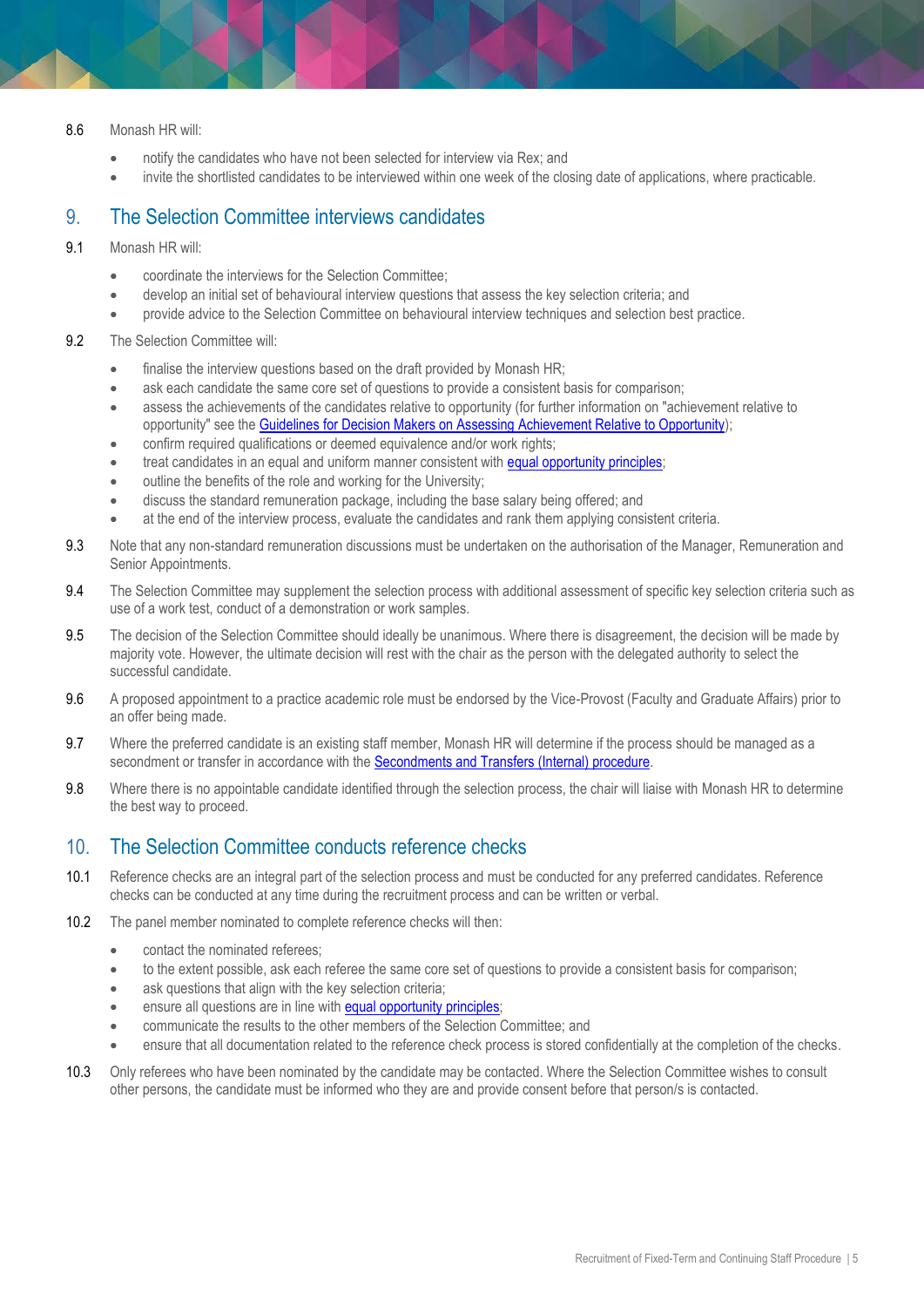- 8.6 Monash HR will:
	- notify the candidates who have not been selected for interview via Rex; and
	- invite the shortlisted candidates to be interviewed within one week of the closing date of applications, where practicable.

#### 9. The Selection Committee interviews candidates

- 9.1 Monash HR will:
	- coordinate the interviews for the Selection Committee;
	- develop an initial set of behavioural interview questions that assess the key selection criteria; and
	- provide advice to the Selection Committee on behavioural interview techniques and selection best practice.
- 9.2 The Selection Committee will:
	- finalise the interview questions based on the draft provided by Monash HR;
	- ask each candidate the same core set of questions to provide a consistent basis for comparison;
	- assess the achievements of the candidates relative to opportunity (for further information on "achievement relative to opportunity" see the [Guidelines for Decision Makers on Assessing Achievement Relative to Opportunity\)](https://www.monash.edu/__data/assets/pdf_file/0012/1032060/Guidelines-For-Assessing-Achievement-Relative-to-Opportunity.pdf);
	- confirm required qualifications or deemed equivalence and/or work rights;
	- treat candidates in an equal and uniform manner consistent with [equal opportunity principles;](https://publicpolicydms.monash.edu/Monash/documents/1935682)
	- $\bullet$  outline the benefits of the role and working for the University;
	- discuss the standard remuneration package, including the base salary being offered; and
	- at the end of the interview process, evaluate the candidates and rank them applying consistent criteria.
- 9.3 Note that any non-standard remuneration discussions must be undertaken on the authorisation of the Manager, Remuneration and Senior Appointments.
- 9.4 The Selection Committee may supplement the selection process with additional assessment of specific key selection criteria such as use of a work test, conduct of a demonstration or work samples.
- 9.5 The decision of the Selection Committee should ideally be unanimous. Where there is disagreement, the decision will be made by majority vote. However, the ultimate decision will rest with the chair as the person with the delegated authority to select the successful candidate.
- 9.6 A proposed appointment to a practice academic role must be endorsed by the Vice-Provost (Faculty and Graduate Affairs) prior to an offer being made.
- 9.7 Where the preferred candidate is an existing staff member, Monash HR will determine if the process should be managed as a secondment or transfer in accordance with the [Secondments and Transfers \(Internal\) procedure.](https://publicpolicydms.monash.edu/Monash/documents/1935692)
- 9.8 Where there is no appointable candidate identified through the selection process, the chair will liaise with Monash HR to determine the best way to proceed.

#### 10. The Selection Committee conducts reference checks

- 10.1 Reference checks are an integral part of the selection process and must be conducted for any preferred candidates. Reference checks can be conducted at any time during the recruitment process and can be written or verbal.
- 10.2 The panel member nominated to complete reference checks will then:
	- contact the nominated referees;
	- to the extent possible, ask each referee the same core set of questions to provide a consistent basis for comparison;
	- ask questions that align with the key selection criteria;
	- **e** ensure all questions are in line with **equal opportunity principles**;
	- communicate the results to the other members of the Selection Committee; and
	- ensure that all documentation related to the reference check process is stored confidentially at the completion of the checks.
- 10.3 Only referees who have been nominated by the candidate may be contacted. Where the Selection Committee wishes to consult other persons, the candidate must be informed who they are and provide consent before that person/s is contacted.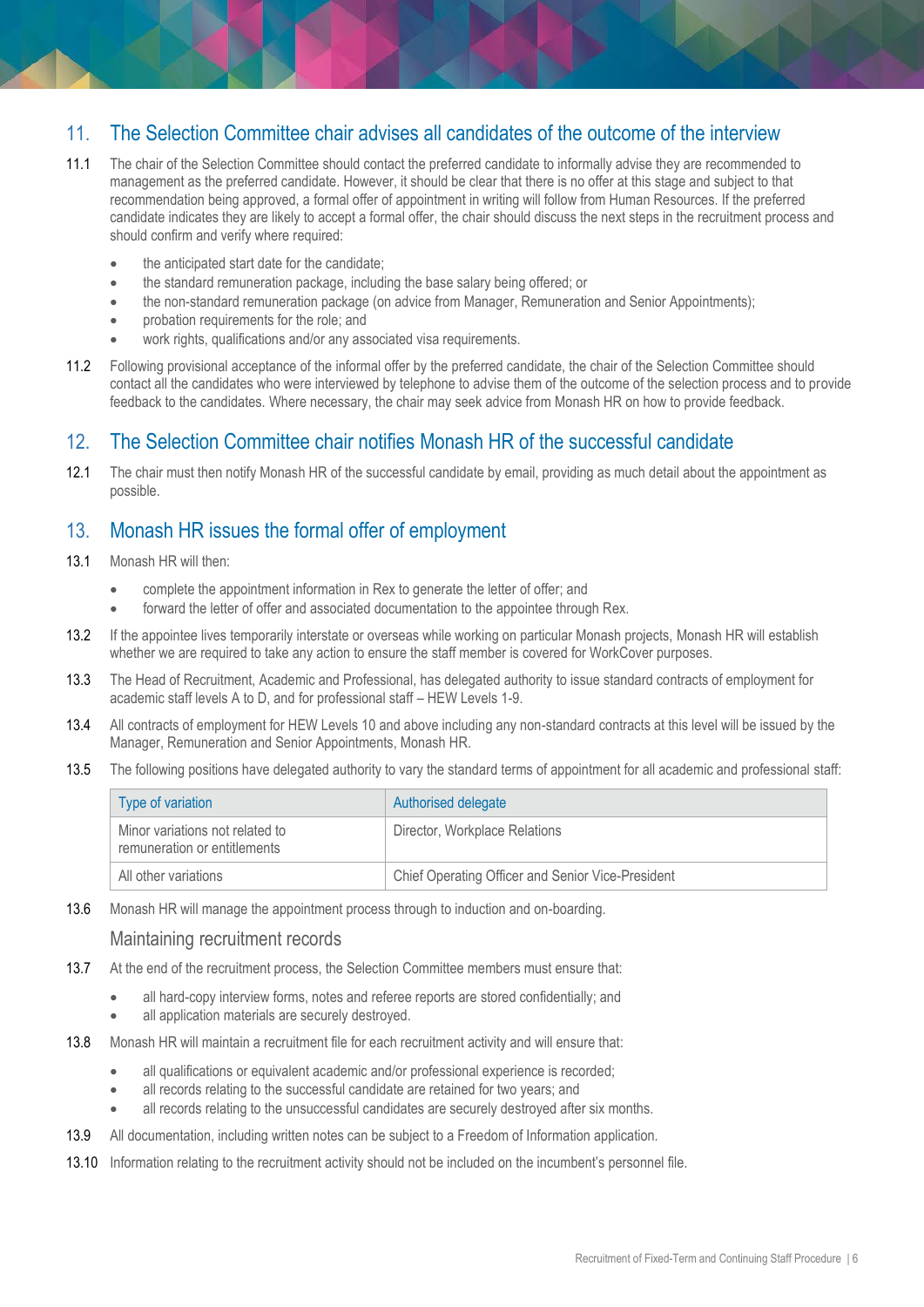#### 11. The Selection Committee chair advises all candidates of the outcome of the interview

- 11.1 The chair of the Selection Committee should contact the preferred candidate to informally advise they are recommended to management as the preferred candidate. However, it should be clear that there is no offer at this stage and subject to that recommendation being approved, a formal offer of appointment in writing will follow from Human Resources. If the preferred candidate indicates they are likely to accept a formal offer, the chair should discuss the next steps in the recruitment process and should confirm and verify where required:
	- the anticipated start date for the candidate;
	- the standard remuneration package, including the base salary being offered; or
	- the non-standard remuneration package (on advice from Manager, Remuneration and Senior Appointments);
	- **•** probation requirements for the role; and
	- work rights, qualifications and/or any associated visa requirements.
- 11.2 Following provisional acceptance of the informal offer by the preferred candidate, the chair of the Selection Committee should contact all the candidates who were interviewed by telephone to advise them of the outcome of the selection process and to provide feedback to the candidates. Where necessary, the chair may seek advice from Monash HR on how to provide feedback.

#### 12. The Selection Committee chair notifies Monash HR of the successful candidate

12.1 The chair must then notify Monash HR of the successful candidate by email, providing as much detail about the appointment as possible.

#### 13. Monash HR issues the formal offer of employment

- 13.1 Monash HR will then:
	- complete the appointment information in Rex to generate the letter of offer; and
	- forward the letter of offer and associated documentation to the appointee through Rex.
- 13.2 If the appointee lives temporarily interstate or overseas while working on particular Monash projects, Monash HR will establish whether we are required to take any action to ensure the staff member is covered for WorkCover purposes.
- 13.3 The Head of Recruitment, Academic and Professional, has delegated authority to issue standard contracts of employment for academic staff levels A to D, and for professional staff – HEW Levels 1-9.
- 13.4 All contracts of employment for HEW Levels 10 and above including any non-standard contracts at this level will be issued by the Manager, Remuneration and Senior Appointments, Monash HR.
- 13.5 The following positions have delegated authority to vary the standard terms of appointment for all academic and professional staff:

| Type of variation                                               | Authorised delegate                               |
|-----------------------------------------------------------------|---------------------------------------------------|
| Minor variations not related to<br>remuneration or entitlements | Director, Workplace Relations                     |
| All other variations                                            | Chief Operating Officer and Senior Vice-President |

13.6 Monash HR will manage the appointment process through to induction and on-boarding.

#### Maintaining recruitment records

- 13.7 At the end of the recruitment process, the Selection Committee members must ensure that:
	- all hard-copy interview forms, notes and referee reports are stored confidentially; and
	- all application materials are securely destroyed.
- 13.8 Monash HR will maintain a recruitment file for each recruitment activity and will ensure that:
	- all qualifications or equivalent academic and/or professional experience is recorded;
	- all records relating to the successful candidate are retained for two years; and
	- all records relating to the unsuccessful candidates are securely destroyed after six months.
- 13.9 All documentation, including written notes can be subject to a Freedom of Information application.
- 13.10 Information relating to the recruitment activity should not be included on the incumbent's personnel file.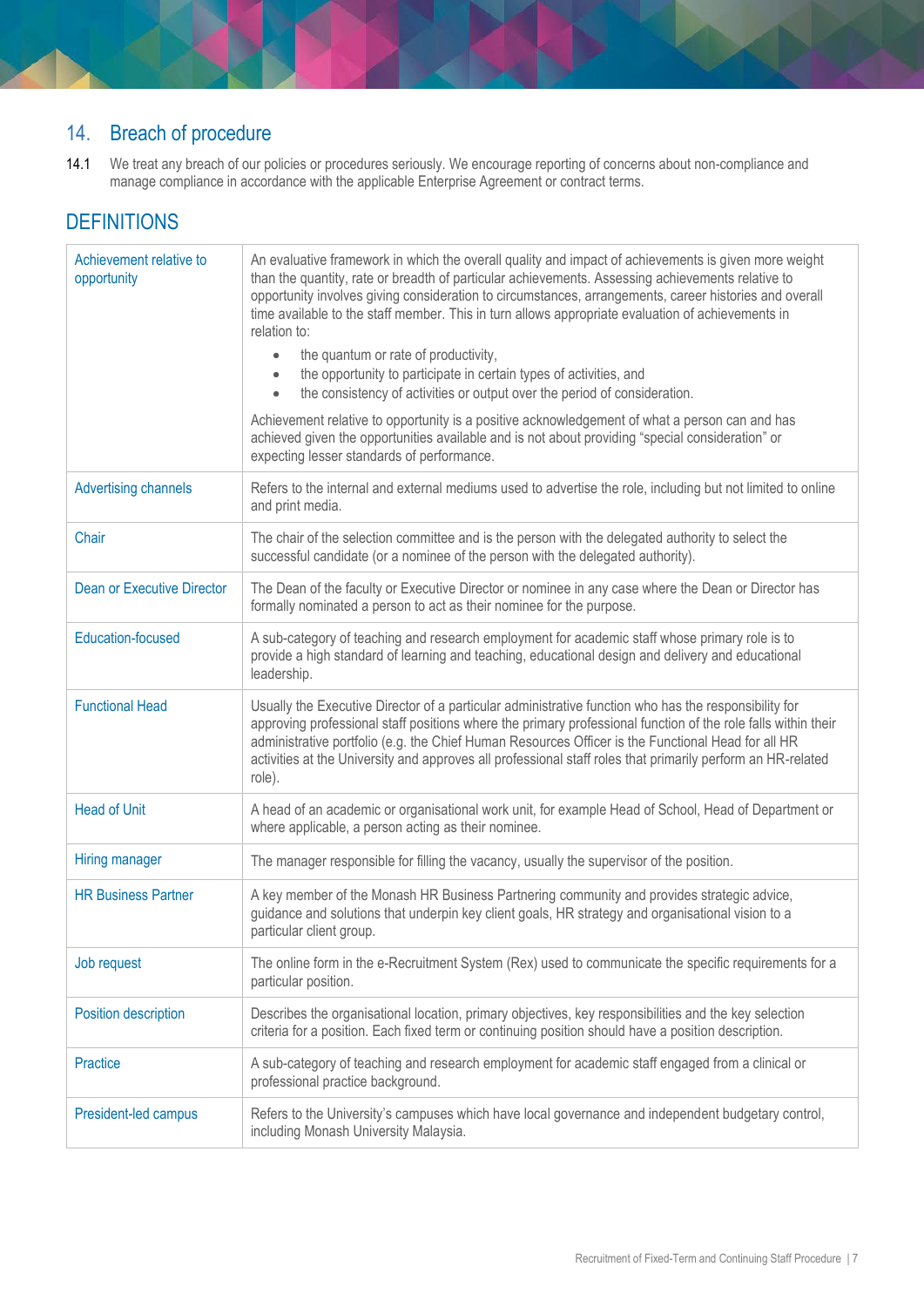## 14. Breach of procedure

14.1 We treat any breach of our policies or procedures seriously. We encourage reporting of concerns about non-compliance and manage compliance in accordance with the applicable Enterprise Agreement or contract terms.

## **DEFINITIONS**

<span id="page-6-0"></span>

| Achievement relative to<br>opportunity | An evaluative framework in which the overall quality and impact of achievements is given more weight<br>than the quantity, rate or breadth of particular achievements. Assessing achievements relative to<br>opportunity involves giving consideration to circumstances, arrangements, career histories and overall<br>time available to the staff member. This in turn allows appropriate evaluation of achievements in<br>relation to:<br>the quantum or rate of productivity,<br>$\bullet$<br>the opportunity to participate in certain types of activities, and<br>the consistency of activities or output over the period of consideration.<br>$\bullet$<br>Achievement relative to opportunity is a positive acknowledgement of what a person can and has<br>achieved given the opportunities available and is not about providing "special consideration" or<br>expecting lesser standards of performance. |
|----------------------------------------|-------------------------------------------------------------------------------------------------------------------------------------------------------------------------------------------------------------------------------------------------------------------------------------------------------------------------------------------------------------------------------------------------------------------------------------------------------------------------------------------------------------------------------------------------------------------------------------------------------------------------------------------------------------------------------------------------------------------------------------------------------------------------------------------------------------------------------------------------------------------------------------------------------------------|
| <b>Advertising channels</b>            | Refers to the internal and external mediums used to advertise the role, including but not limited to online<br>and print media.                                                                                                                                                                                                                                                                                                                                                                                                                                                                                                                                                                                                                                                                                                                                                                                   |
| Chair                                  | The chair of the selection committee and is the person with the delegated authority to select the<br>successful candidate (or a nominee of the person with the delegated authority).                                                                                                                                                                                                                                                                                                                                                                                                                                                                                                                                                                                                                                                                                                                              |
| <b>Dean or Executive Director</b>      | The Dean of the faculty or Executive Director or nominee in any case where the Dean or Director has<br>formally nominated a person to act as their nominee for the purpose.                                                                                                                                                                                                                                                                                                                                                                                                                                                                                                                                                                                                                                                                                                                                       |
| <b>Education-focused</b>               | A sub-category of teaching and research employment for academic staff whose primary role is to<br>provide a high standard of learning and teaching, educational design and delivery and educational<br>leadership.                                                                                                                                                                                                                                                                                                                                                                                                                                                                                                                                                                                                                                                                                                |
| <b>Functional Head</b>                 | Usually the Executive Director of a particular administrative function who has the responsibility for<br>approving professional staff positions where the primary professional function of the role falls within their<br>administrative portfolio (e.g. the Chief Human Resources Officer is the Functional Head for all HR<br>activities at the University and approves all professional staff roles that primarily perform an HR-related<br>role).                                                                                                                                                                                                                                                                                                                                                                                                                                                             |
| <b>Head of Unit</b>                    | A head of an academic or organisational work unit, for example Head of School, Head of Department or<br>where applicable, a person acting as their nominee.                                                                                                                                                                                                                                                                                                                                                                                                                                                                                                                                                                                                                                                                                                                                                       |
| Hiring manager                         | The manager responsible for filling the vacancy, usually the supervisor of the position.                                                                                                                                                                                                                                                                                                                                                                                                                                                                                                                                                                                                                                                                                                                                                                                                                          |
| <b>HR Business Partner</b>             | A key member of the Monash HR Business Partnering community and provides strategic advice,<br>guidance and solutions that underpin key client goals, HR strategy and organisational vision to a<br>particular client group.                                                                                                                                                                                                                                                                                                                                                                                                                                                                                                                                                                                                                                                                                       |
| Job request                            | The online form in the e-Recruitment System (Rex) used to communicate the specific requirements for a<br>particular position.                                                                                                                                                                                                                                                                                                                                                                                                                                                                                                                                                                                                                                                                                                                                                                                     |
| Position description                   | Describes the organisational location, primary objectives, key responsibilities and the key selection<br>criteria for a position. Each fixed term or continuing position should have a position description.                                                                                                                                                                                                                                                                                                                                                                                                                                                                                                                                                                                                                                                                                                      |
| <b>Practice</b>                        | A sub-category of teaching and research employment for academic staff engaged from a clinical or<br>professional practice background.                                                                                                                                                                                                                                                                                                                                                                                                                                                                                                                                                                                                                                                                                                                                                                             |
| President-led campus                   | Refers to the University's campuses which have local governance and independent budgetary control,<br>including Monash University Malaysia.                                                                                                                                                                                                                                                                                                                                                                                                                                                                                                                                                                                                                                                                                                                                                                       |